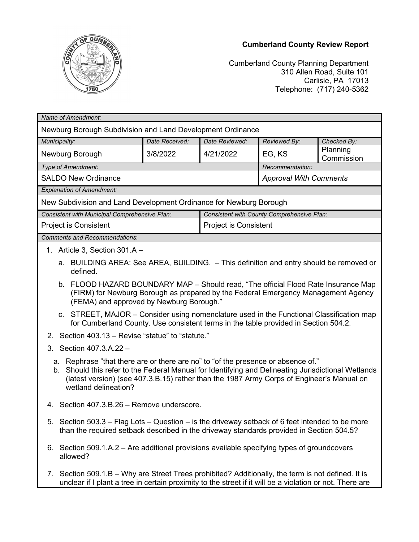## **Cumberland County Review Report**



Cumberland County Planning Department 310 Allen Road, Suite 101 Carlisle, PA 17013 Telephone: (717) 240-5362

| Name of Amendment:                                                                                                                                                                                                                                                                                          |                |                                            |                               |                        |
|-------------------------------------------------------------------------------------------------------------------------------------------------------------------------------------------------------------------------------------------------------------------------------------------------------------|----------------|--------------------------------------------|-------------------------------|------------------------|
| Newburg Borough Subdivision and Land Development Ordinance                                                                                                                                                                                                                                                  |                |                                            |                               |                        |
| Municipality:                                                                                                                                                                                                                                                                                               | Date Received: | Date Reviewed:                             | Reviewed By:                  | Checked By:            |
| Newburg Borough                                                                                                                                                                                                                                                                                             | 3/8/2022       | 4/21/2022                                  | EG, KS                        | Planning<br>Commission |
| Type of Amendment:                                                                                                                                                                                                                                                                                          |                |                                            | Recommendation:               |                        |
| <b>SALDO New Ordinance</b>                                                                                                                                                                                                                                                                                  |                |                                            | <b>Approval With Comments</b> |                        |
| <b>Explanation of Amendment:</b>                                                                                                                                                                                                                                                                            |                |                                            |                               |                        |
| New Subdivision and Land Development Ordinance for Newburg Borough                                                                                                                                                                                                                                          |                |                                            |                               |                        |
| Consistent with Municipal Comprehensive Plan:                                                                                                                                                                                                                                                               |                | Consistent with County Comprehensive Plan: |                               |                        |
| Project is Consistent                                                                                                                                                                                                                                                                                       |                | Project is Consistent                      |                               |                        |
| <b>Comments and Recommendations:</b>                                                                                                                                                                                                                                                                        |                |                                            |                               |                        |
| 1. Article 3, Section $301.A -$                                                                                                                                                                                                                                                                             |                |                                            |                               |                        |
| a. BUILDING AREA: See AREA, BUILDING. - This definition and entry should be removed or<br>defined.                                                                                                                                                                                                          |                |                                            |                               |                        |
| b. FLOOD HAZARD BOUNDARY MAP - Should read, "The official Flood Rate Insurance Map<br>(FIRM) for Newburg Borough as prepared by the Federal Emergency Management Agency<br>(FEMA) and approved by Newburg Borough."                                                                                         |                |                                            |                               |                        |
| c. STREET, MAJOR – Consider using nomenclature used in the Functional Classification map<br>for Cumberland County. Use consistent terms in the table provided in Section 504.2.                                                                                                                             |                |                                            |                               |                        |
| Section 403.13 - Revise "statue" to "statute."<br>2.                                                                                                                                                                                                                                                        |                |                                            |                               |                        |
| 3. Section 407.3.A.22 -                                                                                                                                                                                                                                                                                     |                |                                            |                               |                        |
| a. Rephrase "that there are or there are no" to "of the presence or absence of."<br>b. Should this refer to the Federal Manual for Identifying and Delineating Jurisdictional Wetlands<br>(latest version) (see 407.3.B.15) rather than the 1987 Army Corps of Engineer's Manual on<br>wetland delineation? |                |                                            |                               |                        |
| 4. Section 407.3.B.26 - Remove underscore.                                                                                                                                                                                                                                                                  |                |                                            |                               |                        |
| 5. Section 503.3 - Flag Lots - Question - is the driveway setback of 6 feet intended to be more<br>than the required setback described in the driveway standards provided in Section 504.5?                                                                                                                 |                |                                            |                               |                        |
| 6. Section 509.1.A.2 – Are additional provisions available specifying types of groundcovers<br>allowed?                                                                                                                                                                                                     |                |                                            |                               |                        |
| Section 509.1.B – Why are Street Trees prohibited? Additionally, the term is not defined. It is<br>7.<br>unclear if I plant a tree in certain proximity to the street if it will be a violation or not. There are                                                                                           |                |                                            |                               |                        |